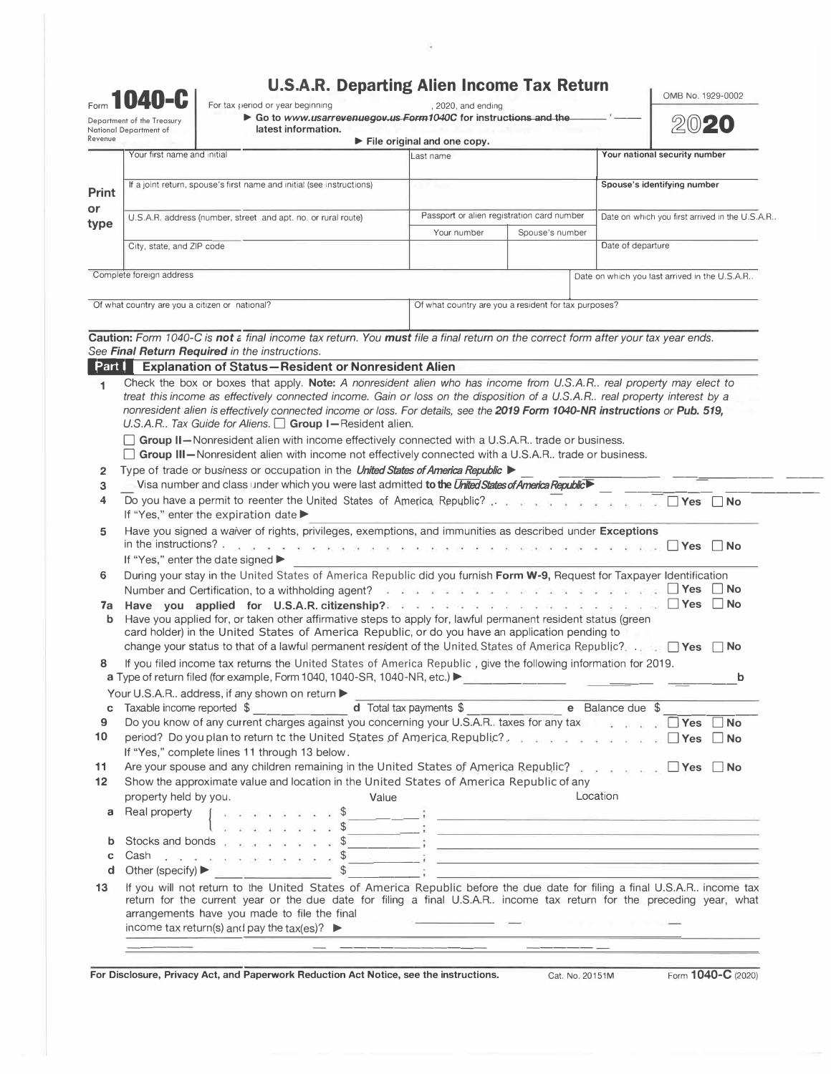| <b>U.S.A.R. Departing Alien Income Tax Return</b> |  |
|---------------------------------------------------|--|
|---------------------------------------------------|--|

ü

|                  | 1040-C<br>Department of the Treasury<br>National Department of                                                                                                                                                                                                                                                                                                                                                                   | <b>U.S.A.R. Departing Alien Income Tax Return</b><br>For tax period or year beginning<br>Go to www.usarrevenuegov.us Form1040C for instructions and the<br>latest information.                                                                                                                                                                                                                                                                                                                                                                   | , 2020, and ending                                   |                                            | OMB No. 1929-0002<br>2020                                                                                                                                                                                                                                        |  |  |
|------------------|----------------------------------------------------------------------------------------------------------------------------------------------------------------------------------------------------------------------------------------------------------------------------------------------------------------------------------------------------------------------------------------------------------------------------------|--------------------------------------------------------------------------------------------------------------------------------------------------------------------------------------------------------------------------------------------------------------------------------------------------------------------------------------------------------------------------------------------------------------------------------------------------------------------------------------------------------------------------------------------------|------------------------------------------------------|--------------------------------------------|------------------------------------------------------------------------------------------------------------------------------------------------------------------------------------------------------------------------------------------------------------------|--|--|
| Revenue          |                                                                                                                                                                                                                                                                                                                                                                                                                                  |                                                                                                                                                                                                                                                                                                                                                                                                                                                                                                                                                  | $\blacktriangleright$ File original and one copy.    |                                            |                                                                                                                                                                                                                                                                  |  |  |
|                  | Your first name and initial                                                                                                                                                                                                                                                                                                                                                                                                      |                                                                                                                                                                                                                                                                                                                                                                                                                                                                                                                                                  | Last name                                            |                                            | Your national security number                                                                                                                                                                                                                                    |  |  |
| <b>Print</b>     | If a joint return, spouse's first name and initial (see instructions)                                                                                                                                                                                                                                                                                                                                                            |                                                                                                                                                                                                                                                                                                                                                                                                                                                                                                                                                  |                                                      |                                            | Spouse's identifying number                                                                                                                                                                                                                                      |  |  |
| or               |                                                                                                                                                                                                                                                                                                                                                                                                                                  | U.S.A.R. address (number, street and apt. no. or rural route)                                                                                                                                                                                                                                                                                                                                                                                                                                                                                    |                                                      | Passport or alien registration card number | Date on which you first arrived in the U.S.A.R                                                                                                                                                                                                                   |  |  |
| type             | City, state, and ZIP code                                                                                                                                                                                                                                                                                                                                                                                                        |                                                                                                                                                                                                                                                                                                                                                                                                                                                                                                                                                  | Your number                                          | Spouse's number                            |                                                                                                                                                                                                                                                                  |  |  |
|                  |                                                                                                                                                                                                                                                                                                                                                                                                                                  |                                                                                                                                                                                                                                                                                                                                                                                                                                                                                                                                                  |                                                      |                                            | Date of departure                                                                                                                                                                                                                                                |  |  |
|                  | Complete foreign address                                                                                                                                                                                                                                                                                                                                                                                                         |                                                                                                                                                                                                                                                                                                                                                                                                                                                                                                                                                  |                                                      |                                            | Date on which you last arrived in the U.S.A.R                                                                                                                                                                                                                    |  |  |
|                  |                                                                                                                                                                                                                                                                                                                                                                                                                                  | Of what country are you a citizen or national?                                                                                                                                                                                                                                                                                                                                                                                                                                                                                                   | Of what country are you a resident for tax purposes? |                                            |                                                                                                                                                                                                                                                                  |  |  |
|                  |                                                                                                                                                                                                                                                                                                                                                                                                                                  | Caution: Form 1040-C is not a final income tax return. You must file a final return on the correct form after your tax year ends.                                                                                                                                                                                                                                                                                                                                                                                                                |                                                      |                                            |                                                                                                                                                                                                                                                                  |  |  |
|                  |                                                                                                                                                                                                                                                                                                                                                                                                                                  | See Final Return Required in the instructions.<br>Part   Explanation of Status-Resident or Nonresident Alien                                                                                                                                                                                                                                                                                                                                                                                                                                     |                                                      |                                            |                                                                                                                                                                                                                                                                  |  |  |
| 1                |                                                                                                                                                                                                                                                                                                                                                                                                                                  | Check the box or boxes that apply. Note: A nonresident alien who has income from U.S.A.R real property may elect to                                                                                                                                                                                                                                                                                                                                                                                                                              |                                                      |                                            |                                                                                                                                                                                                                                                                  |  |  |
|                  |                                                                                                                                                                                                                                                                                                                                                                                                                                  | treat this income as effectively connected income. Gain or loss on the disposition of a U.S.A.R real property interest by a<br>nonresident alien is effectively connected income or loss. For details, see the 2019 Form 1040-NR instructions or Pub. 519,<br>U.S.A.R Tax Guide for Aliens. $\Box$ Group I-Resident alien.                                                                                                                                                                                                                       |                                                      |                                            |                                                                                                                                                                                                                                                                  |  |  |
|                  |                                                                                                                                                                                                                                                                                                                                                                                                                                  | <b>Group II</b> —Nonresident alien with income effectively connected with a U.S.A.R. trade or business.<br>□ Group III-Nonresident alien with income not effectively connected with a U.S.A.R trade or business.                                                                                                                                                                                                                                                                                                                                 |                                                      |                                            |                                                                                                                                                                                                                                                                  |  |  |
| 2                |                                                                                                                                                                                                                                                                                                                                                                                                                                  | Type of trade or business or occupation in the <i>United States of America Republic</i> ▶                                                                                                                                                                                                                                                                                                                                                                                                                                                        |                                                      |                                            |                                                                                                                                                                                                                                                                  |  |  |
| 3                |                                                                                                                                                                                                                                                                                                                                                                                                                                  | Visa number and class under which you were last admitted to the United States of America Republic                                                                                                                                                                                                                                                                                                                                                                                                                                                |                                                      |                                            |                                                                                                                                                                                                                                                                  |  |  |
| 4                |                                                                                                                                                                                                                                                                                                                                                                                                                                  | If "Yes," enter the expiration date                                                                                                                                                                                                                                                                                                                                                                                                                                                                                                              |                                                      |                                            |                                                                                                                                                                                                                                                                  |  |  |
| 5                | Have you signed a waiver of rights, privileges, exemptions, and immunities as described under Exceptions<br>in the instructions? $\ldots$<br>$\mathbf{A}$ , and $\mathbf{A}$ , and $\mathbf{A}$ , and $\mathbf{A}$ , and $\mathbf{A}$ , and $\mathbf{A}$ , and $\mathbf{A}$ and $\mathbf{A}$ . The contract $\Box$ and $\Box$ and $\Box$ and $\Box$ and $\Box$ and $\Box$ and $\Box$ and $\Box$ and $\Box$ and $\Box$ and $\Box$ |                                                                                                                                                                                                                                                                                                                                                                                                                                                                                                                                                  |                                                      |                                            |                                                                                                                                                                                                                                                                  |  |  |
|                  |                                                                                                                                                                                                                                                                                                                                                                                                                                  | If "Yes," enter the date signed ▶                                                                                                                                                                                                                                                                                                                                                                                                                                                                                                                |                                                      |                                            |                                                                                                                                                                                                                                                                  |  |  |
| 6                |                                                                                                                                                                                                                                                                                                                                                                                                                                  | During your stay in the United States of America Republic did you furnish Form W-9, Request for Taxpayer Identification                                                                                                                                                                                                                                                                                                                                                                                                                          |                                                      |                                            | $\mathbb{R}$ . For a contract $\mathbb{R}$ is a contract of $\mathbb{R}$ . The contract $\mathbb{R}$ is a contract of $\mathbb{R}$ . The contract of $\mathbb{R}$ is a contract of $\mathbb{R}$ is a contract of $\mathbb{R}$ is a contract of $\mathbb{R}$ is a |  |  |
| 7a               |                                                                                                                                                                                                                                                                                                                                                                                                                                  | Number and Certification, to a withholding agent?<br>Have you applied for U.S.A.R. citizenship? a property of the property of the set of the DVes DNo                                                                                                                                                                                                                                                                                                                                                                                            |                                                      |                                            |                                                                                                                                                                                                                                                                  |  |  |
| b                |                                                                                                                                                                                                                                                                                                                                                                                                                                  | Have you applied for, or taken other affirmative steps to apply for, lawful permanent resident status (green<br>card holder) in the United States of America Republic, or do you have an application pending to                                                                                                                                                                                                                                                                                                                                  |                                                      |                                            |                                                                                                                                                                                                                                                                  |  |  |
|                  |                                                                                                                                                                                                                                                                                                                                                                                                                                  | change your status to that of a lawful permanent resident of the United States of America Republic? $\Box$ Yes $\Box$ No                                                                                                                                                                                                                                                                                                                                                                                                                         |                                                      |                                            |                                                                                                                                                                                                                                                                  |  |  |
| 8                |                                                                                                                                                                                                                                                                                                                                                                                                                                  | If you filed income tax returns the United States of America Republic, give the following information for 2019.<br>a Type of return filed (for example, Form 1040, 1040-SR, 1040-NR, etc.)                                                                                                                                                                                                                                                                                                                                                       |                                                      |                                            | b                                                                                                                                                                                                                                                                |  |  |
|                  |                                                                                                                                                                                                                                                                                                                                                                                                                                  | Your U.S.A.R address, if any shown on return >                                                                                                                                                                                                                                                                                                                                                                                                                                                                                                   |                                                      |                                            |                                                                                                                                                                                                                                                                  |  |  |
| С                |                                                                                                                                                                                                                                                                                                                                                                                                                                  |                                                                                                                                                                                                                                                                                                                                                                                                                                                                                                                                                  |                                                      |                                            |                                                                                                                                                                                                                                                                  |  |  |
| 9<br>10          |                                                                                                                                                                                                                                                                                                                                                                                                                                  | Do you know of any current charges against you concerning your U.S.A.R. taxes for any tax <b>Fig. All States</b> No<br>period? Do you plan to return to the United States of America Republic?<br>If "Yes," complete lines 11 through 13 below.                                                                                                                                                                                                                                                                                                  |                                                      |                                            |                                                                                                                                                                                                                                                                  |  |  |
| 11               |                                                                                                                                                                                                                                                                                                                                                                                                                                  | Are your spouse and any children remaining in the United States of America Republic? $\ldots$ , $\ldots$ , $\ldots$                                                                                                                                                                                                                                                                                                                                                                                                                              |                                                      |                                            |                                                                                                                                                                                                                                                                  |  |  |
| 12               | property held by you.                                                                                                                                                                                                                                                                                                                                                                                                            | Show the approximate value and location in the United States of America Republic of any<br>Value                                                                                                                                                                                                                                                                                                                                                                                                                                                 |                                                      |                                            | Location                                                                                                                                                                                                                                                         |  |  |
| a                |                                                                                                                                                                                                                                                                                                                                                                                                                                  | $\left[\begin{array}{c} \begin{array}{c} \begin{array}{c} \end{array} & \begin{array}{c} \end{array} & \begin{array}{c} \end{array} & \begin{array}{c} \end{array} & \begin{array}{c} \end{array} & \begin{array}{c} \end{array} & \begin{array}{c} \end{array} & \begin{array}{c} \end{array} & \begin{array}{c} \end{array} & \begin{array}{c} \end{array} & \begin{array}{c} \end{array} & \begin{array}{c} \end{array} & \begin{array}{c} \end{array} & \begin{array}{c} \end{array} & \begin{array}{c} \end{array} & \begin{array}{c} \end$ |                                                      |                                            |                                                                                                                                                                                                                                                                  |  |  |
| b                |                                                                                                                                                                                                                                                                                                                                                                                                                                  | Stocks and bonds $\frac{1}{2}$ $\frac{1}{2}$ $\frac{1}{2}$ $\frac{1}{2}$ $\frac{1}{2}$ $\frac{1}{2}$ $\frac{1}{2}$ $\frac{1}{2}$ $\frac{1}{2}$ $\frac{1}{2}$ $\frac{1}{2}$ $\frac{1}{2}$ $\frac{1}{2}$ $\frac{1}{2}$ $\frac{1}{2}$ $\frac{1}{2}$ $\frac{1}{2}$ $\frac{1}{2}$ $\frac{1}{2}$ $\frac{1}{2}$ $\frac{$                                                                                                                                                                                                                                |                                                      |                                            |                                                                                                                                                                                                                                                                  |  |  |
| $\mathbf c$<br>d |                                                                                                                                                                                                                                                                                                                                                                                                                                  | Cash $\frac{1}{2}$ , a set of state $\frac{1}{2}$ , $\frac{1}{2}$ , $\frac{1}{2}$ , $\frac{1}{2}$ , $\frac{1}{2}$ , $\frac{1}{2}$ , $\frac{1}{2}$ , $\frac{1}{2}$ , $\frac{1}{2}$ , $\frac{1}{2}$ , $\frac{1}{2}$ , $\frac{1}{2}$ , $\frac{1}{2}$ , $\frac{1}{2}$ , $\frac{1}{2}$ , $\frac{1}{2}$<br>Other (specify) $\triangleright$ $\uparrow$ $\downarrow$ $\downarrow$ $\downarrow$ $\downarrow$ $\downarrow$ $\downarrow$ $\downarrow$ $\downarrow$                                                                                         |                                                      |                                            |                                                                                                                                                                                                                                                                  |  |  |
| 13               |                                                                                                                                                                                                                                                                                                                                                                                                                                  | If you will not return to the United States of America Republic before the due date for filing a final U.S.A.R income tax<br>return for the current year or the due date for filing a final U.S.A.R income tax return for the preceding year, what<br>arrangements have you made to file the final<br>income tax return(s) and pay the tax(es)? $\blacktriangleright$                                                                                                                                                                            |                                                      |                                            |                                                                                                                                                                                                                                                                  |  |  |

**For Disclosure, Privacy Act, and Paperwork Reduction Act Notice, see the instructions. Cat. No. 20151M Form 1040-C (2020)** 

\_\_\_\_\_ \_ \_\_\_\_\_\_\_\_\_\_\_ \_\_\_\_\_ \_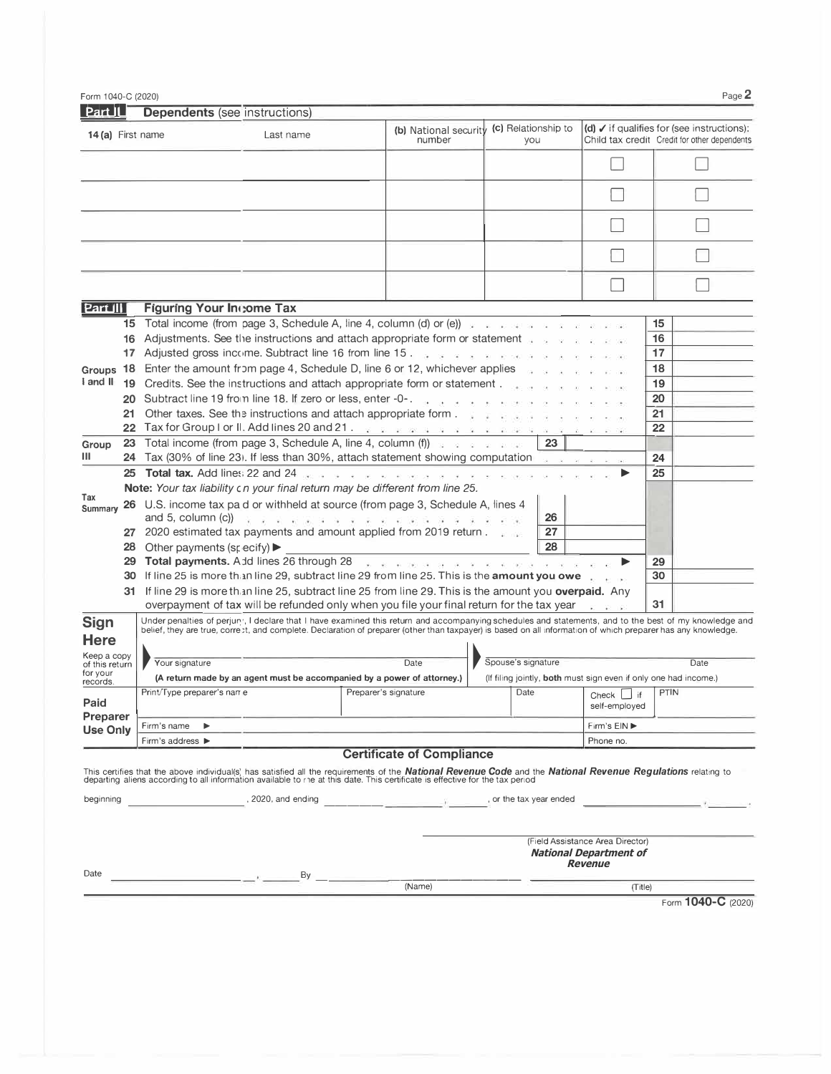|                                                         | Form 1040-C (2020) |                                                   |                                                                                                                                                                                                                                      |                                                                                                                                                                                                                                                                                                                                                                                                                                                                                                                                                                                                                                                                                                                                                                                                                                                                                                                                                                                                                                                                                                                                                                                                                                                                                                                                                                                                                                                                                                                                                                                                                                                                                                                                                                                                                                                                                                                                                                                                                                                                                                                                                                                                                                                                                                                                                                                                                                     |                      |                                                                                     |                                                                                                         | Page 2 |
|---------------------------------------------------------|--------------------|---------------------------------------------------|--------------------------------------------------------------------------------------------------------------------------------------------------------------------------------------------------------------------------------------|-------------------------------------------------------------------------------------------------------------------------------------------------------------------------------------------------------------------------------------------------------------------------------------------------------------------------------------------------------------------------------------------------------------------------------------------------------------------------------------------------------------------------------------------------------------------------------------------------------------------------------------------------------------------------------------------------------------------------------------------------------------------------------------------------------------------------------------------------------------------------------------------------------------------------------------------------------------------------------------------------------------------------------------------------------------------------------------------------------------------------------------------------------------------------------------------------------------------------------------------------------------------------------------------------------------------------------------------------------------------------------------------------------------------------------------------------------------------------------------------------------------------------------------------------------------------------------------------------------------------------------------------------------------------------------------------------------------------------------------------------------------------------------------------------------------------------------------------------------------------------------------------------------------------------------------------------------------------------------------------------------------------------------------------------------------------------------------------------------------------------------------------------------------------------------------------------------------------------------------------------------------------------------------------------------------------------------------------------------------------------------------------------------------------------------------|----------------------|-------------------------------------------------------------------------------------|---------------------------------------------------------------------------------------------------------|--------|
| Part II                                                 |                    | <b>Dependents</b> (see instructions)              |                                                                                                                                                                                                                                      |                                                                                                                                                                                                                                                                                                                                                                                                                                                                                                                                                                                                                                                                                                                                                                                                                                                                                                                                                                                                                                                                                                                                                                                                                                                                                                                                                                                                                                                                                                                                                                                                                                                                                                                                                                                                                                                                                                                                                                                                                                                                                                                                                                                                                                                                                                                                                                                                                                     |                      |                                                                                     |                                                                                                         |        |
| 14(a) First name                                        |                    |                                                   | Last name                                                                                                                                                                                                                            | (b) National security (c) Relationship to<br>number                                                                                                                                                                                                                                                                                                                                                                                                                                                                                                                                                                                                                                                                                                                                                                                                                                                                                                                                                                                                                                                                                                                                                                                                                                                                                                                                                                                                                                                                                                                                                                                                                                                                                                                                                                                                                                                                                                                                                                                                                                                                                                                                                                                                                                                                                                                                                                                 | you                  |                                                                                     | $(d)$ $\checkmark$ if qualifies for (see instructions):<br>Child tax credit Credit for other dependents |        |
|                                                         |                    |                                                   |                                                                                                                                                                                                                                      |                                                                                                                                                                                                                                                                                                                                                                                                                                                                                                                                                                                                                                                                                                                                                                                                                                                                                                                                                                                                                                                                                                                                                                                                                                                                                                                                                                                                                                                                                                                                                                                                                                                                                                                                                                                                                                                                                                                                                                                                                                                                                                                                                                                                                                                                                                                                                                                                                                     |                      |                                                                                     |                                                                                                         |        |
|                                                         |                    |                                                   |                                                                                                                                                                                                                                      |                                                                                                                                                                                                                                                                                                                                                                                                                                                                                                                                                                                                                                                                                                                                                                                                                                                                                                                                                                                                                                                                                                                                                                                                                                                                                                                                                                                                                                                                                                                                                                                                                                                                                                                                                                                                                                                                                                                                                                                                                                                                                                                                                                                                                                                                                                                                                                                                                                     |                      |                                                                                     |                                                                                                         |        |
|                                                         |                    |                                                   |                                                                                                                                                                                                                                      |                                                                                                                                                                                                                                                                                                                                                                                                                                                                                                                                                                                                                                                                                                                                                                                                                                                                                                                                                                                                                                                                                                                                                                                                                                                                                                                                                                                                                                                                                                                                                                                                                                                                                                                                                                                                                                                                                                                                                                                                                                                                                                                                                                                                                                                                                                                                                                                                                                     |                      |                                                                                     |                                                                                                         |        |
|                                                         |                    |                                                   |                                                                                                                                                                                                                                      |                                                                                                                                                                                                                                                                                                                                                                                                                                                                                                                                                                                                                                                                                                                                                                                                                                                                                                                                                                                                                                                                                                                                                                                                                                                                                                                                                                                                                                                                                                                                                                                                                                                                                                                                                                                                                                                                                                                                                                                                                                                                                                                                                                                                                                                                                                                                                                                                                                     |                      |                                                                                     |                                                                                                         |        |
|                                                         |                    |                                                   |                                                                                                                                                                                                                                      |                                                                                                                                                                                                                                                                                                                                                                                                                                                                                                                                                                                                                                                                                                                                                                                                                                                                                                                                                                                                                                                                                                                                                                                                                                                                                                                                                                                                                                                                                                                                                                                                                                                                                                                                                                                                                                                                                                                                                                                                                                                                                                                                                                                                                                                                                                                                                                                                                                     |                      |                                                                                     |                                                                                                         |        |
| <b>Part III</b>                                         |                    | Figuring Your Income Tax                          |                                                                                                                                                                                                                                      |                                                                                                                                                                                                                                                                                                                                                                                                                                                                                                                                                                                                                                                                                                                                                                                                                                                                                                                                                                                                                                                                                                                                                                                                                                                                                                                                                                                                                                                                                                                                                                                                                                                                                                                                                                                                                                                                                                                                                                                                                                                                                                                                                                                                                                                                                                                                                                                                                                     |                      |                                                                                     |                                                                                                         |        |
| I and II<br>Group<br>Ш<br>Tax<br>Summary<br><b>Sign</b> |                    | 28 Other payments (specify) $\blacktriangleright$ |                                                                                                                                                                                                                                      | <b>15</b> Total income (from page 3, Schedule A, line 4, column (d) or (e)) we are assessed as a set of a<br>16 Adjustments. See the instructions and attach appropriate form or statement with a state of the<br>17 Adjusted gross income. Subtract line 16 from line 15. The service of the second service of the service<br>Groups 18 Enter the amount from page 4, Schedule D, line 6 or 12, whichever applies<br>19 Credits. See the instructions and attach appropriate form or statement<br>20 Subtract line 19 from line 18. If zero or less, enter -0-.<br>21 Other taxes. See the instructions and attach appropriate form<br>22 Tax for Group I or II. Add lines 20 and 21. We want the service of the service of the service of the<br>23 Total income (from page 3, Schedule A, line 4, column (f) $\cdots$ $\cdots$<br>24 Tax (30% of line 23). If less than 30%, attach statement showing computation<br>25 Total tax. Add lines 22 and 24 page of a contract and a contract of a contract of a contract of<br>Note: Your tax liability cn your final return may be different from line 25.<br>26 U.S. income tax pa d or withheld at source (from page 3, Schedule A, lines 4<br>and 5, column (c)) $\sqrt{2}$ and $\sqrt{2}$ and $\sqrt{2}$ and $\sqrt{2}$ and $\sqrt{2}$ and $\sqrt{2}$ and $\sqrt{2}$ and $\sqrt{2}$ and $\sqrt{2}$ and $\sqrt{2}$ and $\sqrt{2}$ and $\sqrt{2}$ and $\sqrt{2}$ and $\sqrt{2}$ and $\sqrt{2}$ and $\sqrt{2}$ and $\sqrt{2}$ an<br>27 2020 estimated tax payments and amount applied from 2019 return.<br>29 Total payments. Add lines 26 through 28 Apr and a series and a series and a series of the series of the series of the series of the series of the series of the series of the series of the series of the series of the ser<br>30 If line 25 is more than line 29, subtract line 29 from line 25. This is the amount you owe<br>31 If line 29 is more than line 25, subtract line 25 from line 29. This is the amount you overpaid. Any<br>overpayment of tax will be refunded only when you file your final return for the tax year $\Box$<br>Under penalties of perjury, I declare that I have examined this return and accompanying schedules and statements, and to the best of my knowledge and<br>belief, they are true, correst, and complete. Declaration of preparer (other than taxpayer) is based on all information of which preparer has any knowledge. | 23<br>26<br>27<br>28 | ▶                                                                                   | 15<br>16<br>17<br>18<br>19<br>20<br>21<br>22<br>24<br>25<br>29<br>30<br>31                              |        |
| <b>Here</b><br>Кеер а сору<br>of this return            |                    | Your signature                                    |                                                                                                                                                                                                                                      | Date                                                                                                                                                                                                                                                                                                                                                                                                                                                                                                                                                                                                                                                                                                                                                                                                                                                                                                                                                                                                                                                                                                                                                                                                                                                                                                                                                                                                                                                                                                                                                                                                                                                                                                                                                                                                                                                                                                                                                                                                                                                                                                                                                                                                                                                                                                                                                                                                                                | Spouse's signature   |                                                                                     | Date                                                                                                    |        |
| for your<br>records.                                    |                    |                                                   |                                                                                                                                                                                                                                      | (A return made by an agent must be accompanied by a power of attorney.)                                                                                                                                                                                                                                                                                                                                                                                                                                                                                                                                                                                                                                                                                                                                                                                                                                                                                                                                                                                                                                                                                                                                                                                                                                                                                                                                                                                                                                                                                                                                                                                                                                                                                                                                                                                                                                                                                                                                                                                                                                                                                                                                                                                                                                                                                                                                                             |                      |                                                                                     | (If filing jointly, both must sign even if only one had income.)                                        |        |
| Paid                                                    |                    |                                                   |                                                                                                                                                                                                                                      | Print/Type preparer's name                                                                                                                                                                                                                                                                                                                                                                                                                                                                                                                                                                                                                                                                                                                                                                                                                                                                                                                                                                                                                                                                                                                                                                                                                                                                                                                                                                                                                                                                                                                                                                                                                                                                                                                                                                                                                                                                                                                                                                                                                                                                                                                                                                                                                                                                                                                                                                                                          |                      | self-employed                                                                       | Date Check if PTIN                                                                                      |        |
| <b>Preparer</b><br><b>Use Only</b>                      |                    | Firm's name<br>$\blacktriangleright$              |                                                                                                                                                                                                                                      |                                                                                                                                                                                                                                                                                                                                                                                                                                                                                                                                                                                                                                                                                                                                                                                                                                                                                                                                                                                                                                                                                                                                                                                                                                                                                                                                                                                                                                                                                                                                                                                                                                                                                                                                                                                                                                                                                                                                                                                                                                                                                                                                                                                                                                                                                                                                                                                                                                     |                      | Firm's EIN ▶                                                                        |                                                                                                         |        |
|                                                         |                    | Firm's address ▶                                  |                                                                                                                                                                                                                                      |                                                                                                                                                                                                                                                                                                                                                                                                                                                                                                                                                                                                                                                                                                                                                                                                                                                                                                                                                                                                                                                                                                                                                                                                                                                                                                                                                                                                                                                                                                                                                                                                                                                                                                                                                                                                                                                                                                                                                                                                                                                                                                                                                                                                                                                                                                                                                                                                                                     |                      | Phone no.                                                                           |                                                                                                         |        |
|                                                         |                    |                                                   |                                                                                                                                                                                                                                      | <b>Certificate of Compliance</b><br>This certifies that the above individual(s) has satisfied all the requirements of the National Revenue Code and the National Revenue Regulations relating to                                                                                                                                                                                                                                                                                                                                                                                                                                                                                                                                                                                                                                                                                                                                                                                                                                                                                                                                                                                                                                                                                                                                                                                                                                                                                                                                                                                                                                                                                                                                                                                                                                                                                                                                                                                                                                                                                                                                                                                                                                                                                                                                                                                                                                    |                      |                                                                                     |                                                                                                         |        |
|                                                         |                    |                                                   |                                                                                                                                                                                                                                      | departing aliens according to all information available to ne at this date. This certificate is effective for the tax period                                                                                                                                                                                                                                                                                                                                                                                                                                                                                                                                                                                                                                                                                                                                                                                                                                                                                                                                                                                                                                                                                                                                                                                                                                                                                                                                                                                                                                                                                                                                                                                                                                                                                                                                                                                                                                                                                                                                                                                                                                                                                                                                                                                                                                                                                                        |                      |                                                                                     |                                                                                                         |        |
| beginning                                               |                    |                                                   |                                                                                                                                                                                                                                      |                                                                                                                                                                                                                                                                                                                                                                                                                                                                                                                                                                                                                                                                                                                                                                                                                                                                                                                                                                                                                                                                                                                                                                                                                                                                                                                                                                                                                                                                                                                                                                                                                                                                                                                                                                                                                                                                                                                                                                                                                                                                                                                                                                                                                                                                                                                                                                                                                                     |                      |                                                                                     | the contract of the contract of the contract of                                                         |        |
|                                                         |                    |                                                   |                                                                                                                                                                                                                                      |                                                                                                                                                                                                                                                                                                                                                                                                                                                                                                                                                                                                                                                                                                                                                                                                                                                                                                                                                                                                                                                                                                                                                                                                                                                                                                                                                                                                                                                                                                                                                                                                                                                                                                                                                                                                                                                                                                                                                                                                                                                                                                                                                                                                                                                                                                                                                                                                                                     |                      | (Field Assistance Area Director)<br><b>National Department of</b><br><b>Revenue</b> |                                                                                                         |        |
|                                                         |                    |                                                   | <u>2003 - Andrea Andrew Arena Alexander Andrew By Arena Arena Arena Arena Arena Arena Arena Arena Arena Arena Arena Arena Arena Arena Arena Arena Arena Arena Arena Arena Arena Arena Arena Arena Arena Arena Arena Arena Arena </u> | $\frac{1}{(\text{Name})}$                                                                                                                                                                                                                                                                                                                                                                                                                                                                                                                                                                                                                                                                                                                                                                                                                                                                                                                                                                                                                                                                                                                                                                                                                                                                                                                                                                                                                                                                                                                                                                                                                                                                                                                                                                                                                                                                                                                                                                                                                                                                                                                                                                                                                                                                                                                                                                                                           |                      |                                                                                     |                                                                                                         |        |
| Date                                                    |                    |                                                   |                                                                                                                                                                                                                                      |                                                                                                                                                                                                                                                                                                                                                                                                                                                                                                                                                                                                                                                                                                                                                                                                                                                                                                                                                                                                                                                                                                                                                                                                                                                                                                                                                                                                                                                                                                                                                                                                                                                                                                                                                                                                                                                                                                                                                                                                                                                                                                                                                                                                                                                                                                                                                                                                                                     |                      |                                                                                     |                                                                                                         |        |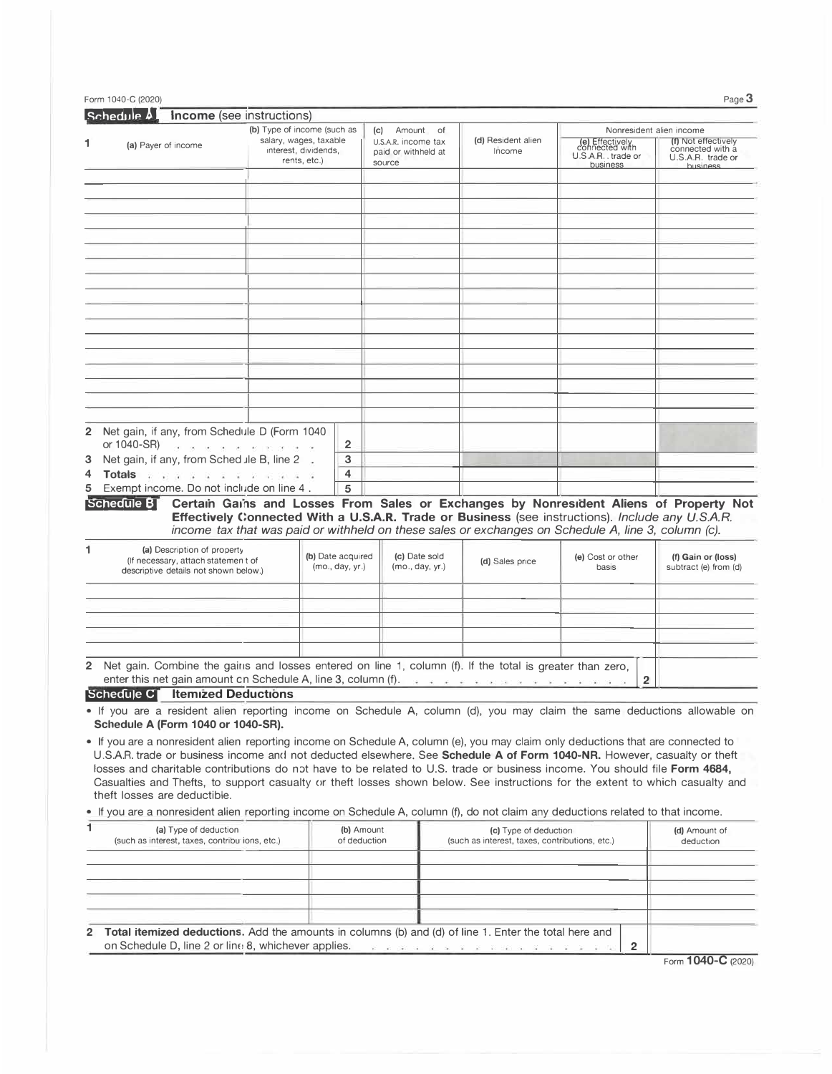|                                                                                                                                                                                                                                                                                                                                                                                                                                                                                                                                                                                                                                                                                                                                                                                                                        | <b>Income</b> (see instructions)         |                                                                               |                                                                |                                                                                                                                                                                            |                                   |                                                                     |
|------------------------------------------------------------------------------------------------------------------------------------------------------------------------------------------------------------------------------------------------------------------------------------------------------------------------------------------------------------------------------------------------------------------------------------------------------------------------------------------------------------------------------------------------------------------------------------------------------------------------------------------------------------------------------------------------------------------------------------------------------------------------------------------------------------------------|------------------------------------------|-------------------------------------------------------------------------------|----------------------------------------------------------------|--------------------------------------------------------------------------------------------------------------------------------------------------------------------------------------------|-----------------------------------|---------------------------------------------------------------------|
| (a) Payer of income                                                                                                                                                                                                                                                                                                                                                                                                                                                                                                                                                                                                                                                                                                                                                                                                    |                                          | (b) Type of income (such as<br>salary, wages, taxable<br>interest, dividends, | Amount of<br>(c)<br>U.S.A.R. income tax<br>paid or withheld at | (d) Resident alien<br>Income                                                                                                                                                               | (e) Effectively<br>connected with | Nonresident alien income<br>(f) Not effectively<br>connected with a |
|                                                                                                                                                                                                                                                                                                                                                                                                                                                                                                                                                                                                                                                                                                                                                                                                                        |                                          | rents, etc.)                                                                  | source                                                         |                                                                                                                                                                                            | U.S.A.R. trade or<br>business     | U.S.A.R. trade or<br><b>business</b>                                |
|                                                                                                                                                                                                                                                                                                                                                                                                                                                                                                                                                                                                                                                                                                                                                                                                                        |                                          |                                                                               |                                                                |                                                                                                                                                                                            |                                   |                                                                     |
|                                                                                                                                                                                                                                                                                                                                                                                                                                                                                                                                                                                                                                                                                                                                                                                                                        |                                          |                                                                               |                                                                |                                                                                                                                                                                            |                                   |                                                                     |
|                                                                                                                                                                                                                                                                                                                                                                                                                                                                                                                                                                                                                                                                                                                                                                                                                        |                                          |                                                                               |                                                                |                                                                                                                                                                                            |                                   |                                                                     |
|                                                                                                                                                                                                                                                                                                                                                                                                                                                                                                                                                                                                                                                                                                                                                                                                                        |                                          |                                                                               |                                                                |                                                                                                                                                                                            |                                   |                                                                     |
|                                                                                                                                                                                                                                                                                                                                                                                                                                                                                                                                                                                                                                                                                                                                                                                                                        |                                          |                                                                               |                                                                |                                                                                                                                                                                            |                                   |                                                                     |
|                                                                                                                                                                                                                                                                                                                                                                                                                                                                                                                                                                                                                                                                                                                                                                                                                        |                                          |                                                                               |                                                                |                                                                                                                                                                                            |                                   |                                                                     |
|                                                                                                                                                                                                                                                                                                                                                                                                                                                                                                                                                                                                                                                                                                                                                                                                                        |                                          |                                                                               |                                                                |                                                                                                                                                                                            |                                   |                                                                     |
|                                                                                                                                                                                                                                                                                                                                                                                                                                                                                                                                                                                                                                                                                                                                                                                                                        |                                          |                                                                               |                                                                |                                                                                                                                                                                            |                                   |                                                                     |
|                                                                                                                                                                                                                                                                                                                                                                                                                                                                                                                                                                                                                                                                                                                                                                                                                        |                                          |                                                                               |                                                                |                                                                                                                                                                                            |                                   |                                                                     |
| 2 Net gain, if any, from Schedule D (Form 1040<br>or 1040-SR)                                                                                                                                                                                                                                                                                                                                                                                                                                                                                                                                                                                                                                                                                                                                                          | .<br>Andre de les estacions de la contra | 2                                                                             |                                                                |                                                                                                                                                                                            |                                   |                                                                     |
| Net gain, if any, from Sched Jle B, line 2.                                                                                                                                                                                                                                                                                                                                                                                                                                                                                                                                                                                                                                                                                                                                                                            |                                          | 3                                                                             |                                                                |                                                                                                                                                                                            |                                   |                                                                     |
| Totals when a company of the company<br>Exempt income. Do not include on line 4.                                                                                                                                                                                                                                                                                                                                                                                                                                                                                                                                                                                                                                                                                                                                       |                                          | 4<br>5                                                                        |                                                                |                                                                                                                                                                                            |                                   |                                                                     |
| Schedule BT                                                                                                                                                                                                                                                                                                                                                                                                                                                                                                                                                                                                                                                                                                                                                                                                            |                                          |                                                                               |                                                                | Certain Gains and Losses From Sales or Exchanges by Nonresident Aliens of Property Not<br>Effectively Connected With a U.S.A.R. Trade or Business (see instructions). Include any U.S.A.R. |                                   |                                                                     |
| (a) Description of property<br>(If necessary, attach statement of                                                                                                                                                                                                                                                                                                                                                                                                                                                                                                                                                                                                                                                                                                                                                      |                                          | (b) Date acquired<br>(mo., day, yr.)                                          | (c) Date sold                                                  | income tax that was paid or withheld on these sales or exchanges on Schedule A, line 3, column (c).<br>(d) Sales price                                                                     | (e) Cost or other<br>basis        | (f) Gain or (loss)                                                  |
| descriptive details not shown below.)                                                                                                                                                                                                                                                                                                                                                                                                                                                                                                                                                                                                                                                                                                                                                                                  |                                          |                                                                               | (mo., day, yr.)                                                |                                                                                                                                                                                            |                                   | subtract (e) from (d)                                               |
|                                                                                                                                                                                                                                                                                                                                                                                                                                                                                                                                                                                                                                                                                                                                                                                                                        |                                          |                                                                               |                                                                |                                                                                                                                                                                            |                                   |                                                                     |
|                                                                                                                                                                                                                                                                                                                                                                                                                                                                                                                                                                                                                                                                                                                                                                                                                        |                                          |                                                                               |                                                                |                                                                                                                                                                                            |                                   |                                                                     |
|                                                                                                                                                                                                                                                                                                                                                                                                                                                                                                                                                                                                                                                                                                                                                                                                                        |                                          |                                                                               |                                                                |                                                                                                                                                                                            |                                   |                                                                     |
|                                                                                                                                                                                                                                                                                                                                                                                                                                                                                                                                                                                                                                                                                                                                                                                                                        |                                          |                                                                               |                                                                |                                                                                                                                                                                            |                                   |                                                                     |
| enter this net gain amount on Schedule A, line 3, column (f). The service of the service of the service of the                                                                                                                                                                                                                                                                                                                                                                                                                                                                                                                                                                                                                                                                                                         |                                          |                                                                               |                                                                |                                                                                                                                                                                            | $\overline{2}$                    |                                                                     |
| 2 Net gain. Combine the gains and losses entered on line 1, column (f). If the total is greater than zero,<br>Schedule C Itemized Deductions<br>• If you are a resident alien reporting income on Schedule A, column (d), you may claim the same deductions allowable on                                                                                                                                                                                                                                                                                                                                                                                                                                                                                                                                               |                                          |                                                                               |                                                                |                                                                                                                                                                                            |                                   |                                                                     |
|                                                                                                                                                                                                                                                                                                                                                                                                                                                                                                                                                                                                                                                                                                                                                                                                                        |                                          |                                                                               |                                                                |                                                                                                                                                                                            |                                   |                                                                     |
|                                                                                                                                                                                                                                                                                                                                                                                                                                                                                                                                                                                                                                                                                                                                                                                                                        |                                          |                                                                               |                                                                |                                                                                                                                                                                            |                                   |                                                                     |
|                                                                                                                                                                                                                                                                                                                                                                                                                                                                                                                                                                                                                                                                                                                                                                                                                        |                                          |                                                                               |                                                                |                                                                                                                                                                                            |                                   |                                                                     |
| Schedule A (Form 1040 or 1040-SR).<br>• If you are a nonresident alien reporting income on Schedule A, column (e), you may claim only deductions that are connected to<br>U.S.A.R. trade or business income and not deducted elsewhere. See Schedule A of Form 1040-NR. However, casualty or theft<br>losses and charitable contributions do not have to be related to U.S. trade or business income. You should file Form 4684,<br>Casualties and Thefts, to support casualty or theft losses shown below. See instructions for the extent to which casualty and<br>theft losses are deductible.<br>• If you are a nonresident alien reporting income on Schedule A, column (f), do not claim any deductions related to that income.<br>1.<br>(a) Type of deduction<br>(such as interest, taxes, contribu ions, etc.) |                                          | (b) Amount<br>of deduction                                                    |                                                                | (c) Type of deduction<br>(such as interest, taxes, contributions, etc.)                                                                                                                    |                                   | (d) Amount of<br>deduction                                          |
|                                                                                                                                                                                                                                                                                                                                                                                                                                                                                                                                                                                                                                                                                                                                                                                                                        |                                          |                                                                               |                                                                |                                                                                                                                                                                            |                                   |                                                                     |
|                                                                                                                                                                                                                                                                                                                                                                                                                                                                                                                                                                                                                                                                                                                                                                                                                        |                                          |                                                                               |                                                                |                                                                                                                                                                                            |                                   |                                                                     |

Form **1040-C** (2020)